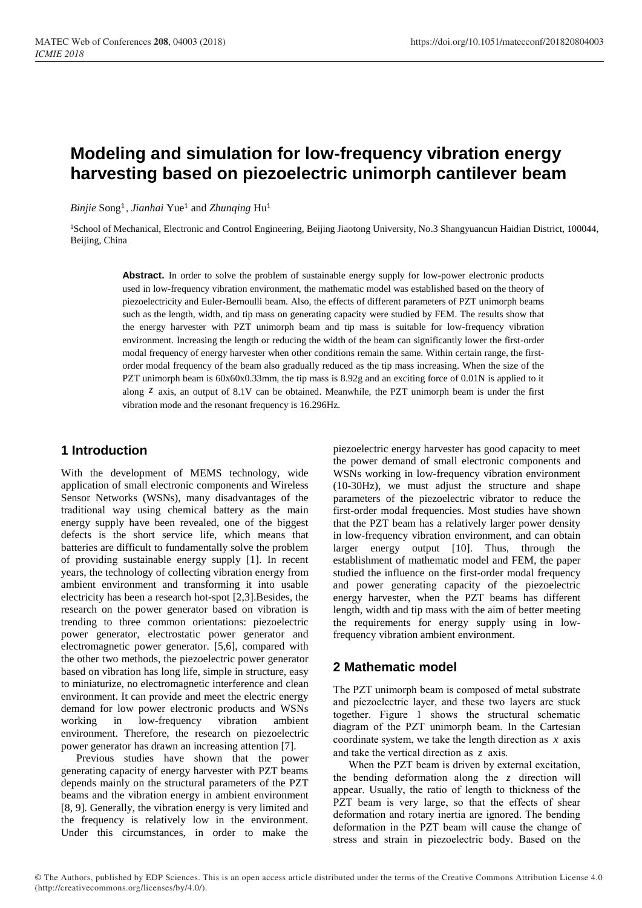# **Modeling and simulation for low-frequency vibration energy harvesting based on piezoelectric unimorph cantilever beam**

*Binjie* Song<sup>1</sup> , *Jianhai* Yue<sup>1</sup> and *Zhunqing* Hu<sup>1</sup>

<sup>1</sup>School of Mechanical, Electronic and Control Engineering, Beijing Jiaotong University, No.3 Shangyuancun Haidian District, 100044, Beijing, China

Abstract. In order to solve the problem of sustainable energy supply for low-power electronic products used in low-frequency vibration environment, the mathematic model was established based on the theory of piezoelectricity and Euler-Bernoulli beam. Also, the effects of different parameters of PZT unimorph beams such as the length, width, and tip mass on generating capacity were studied by FEM. The results show that the energy harvester with PZT unimorph beam and tip mass is suitable for low-frequency vibration environment. Increasing the length or reducing the width of the beam can significantly lower the first-order modal frequency of energy harvester when other conditions remain the same. Within certain range, the firstorder modal frequency of the beam also gradually reduced as the tip mass increasing. When the size of the PZT unimorph beam is 60x60x0.33mm, the tip mass is 8.92g and an exciting force of 0.01N is applied to it along *<sup>z</sup>* axis, an output of 8.1V can be obtained. Meanwhile, the PZT unimorph beam is under the first vibration mode and the resonant frequency is 16.296Hz.

# **1 Introduction**

With the development of MEMS technology, wide application of small electronic components and Wireless Sensor Networks (WSNs), many disadvantages of the traditional way using chemical battery as the main energy supply have been revealed, one of the biggest defects is the short service life, which means that batteries are difficult to fundamentally solve the problem of providing sustainable energy supply [1]. In recent years, the technology of collecting vibration energy from ambient environment and transforming it into usable electricity has been a research hot-spot [2,3].Besides, the research on the power generator based on vibration is trending to three common orientations: piezoelectric power generator, electrostatic power generator and electromagnetic power generator. [5,6], compared with the other two methods, the piezoelectric power generator based on vibration has long life, simple in structure, easy to miniaturize, no electromagnetic interference and clean environment. It can provide and meet the electric energy demand for low power electronic products and WSNs working in low-frequency vibration ambient environment. Therefore, the research on piezoelectric power generator has drawn an increasing attention [7].

Previous studies have shown that the power generating capacity of energy harvester with PZT beams depends mainly on the structural parameters of the PZT beams and the vibration energy in ambient environment [8, 9]. Generally, the vibration energy is very limited and the frequency is relatively low in the environment. Under this circumstances, in order to make the

piezoelectric energy harvester has good capacity to meet the power demand of small electronic components and WSNs working in low-frequency vibration environment (10-30Hz), we must adjust the structure and shape parameters of the piezoelectric vibrator to reduce the first-order modal frequencies. Most studies have shown that the PZT beam has a relatively larger power density in low-frequency vibration environment, and can obtain larger energy output [10]. Thus, through the establishment of mathematic model and FEM, the paper studied the influence on the first-order modal frequency and power generating capacity of the piezoelectric energy harvester, when the PZT beams has different length, width and tip mass with the aim of better meeting the requirements for energy supply using in lowfrequency vibration ambient environment.

# **2 Mathematic model**

The PZT unimorph beam is composed of metal substrate and piezoelectric layer, and these two layers are stuck together. Figure 1 shows the structural schematic diagram of the PZT unimorph beam. In the Cartesian coordinate system, we take the length direction as *<sup>x</sup>* axis and take the vertical direction as *<sup>z</sup>* axis.

When the PZT beam is driven by external excitation, the bending deformation along the *<sup>z</sup>* direction will appear. Usually, the ratio of length to thickness of the PZT beam is very large, so that the effects of shear deformation and rotary inertia are ignored. The bending deformation in the PZT beam will cause the change of stress and strain in piezoelectric body. Based on the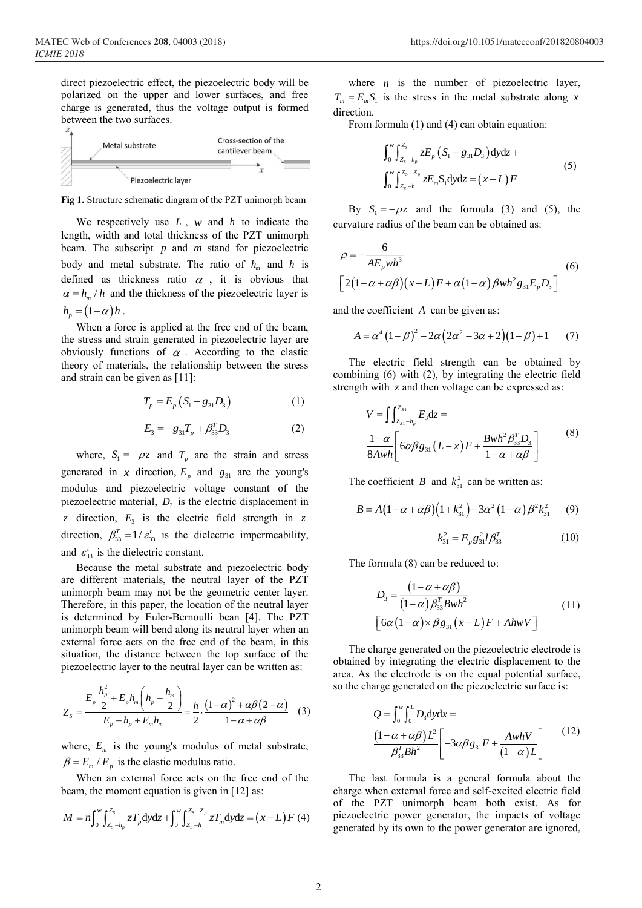direct piezoelectric effect, the piezoelectric body will be polarized on the upper and lower surfaces, and free charge is generated, thus the voltage output is formed between the two surfaces.



**Fig 1.** Structure schematic diagram of the PZT unimorph beam

We respectively use *<sup>L</sup>* , *<sup>w</sup>* and *<sup>h</sup>* to indicate the length, width and total thickness of the PZT unimorph beam. The subscript *p* and *<sup>m</sup>* stand for piezoelectric body and metal substrate. The ratio of  $h_m$  and  $h$  is defined as thickness ratio  $\alpha$ , it is obvious that  $\alpha = h_m / h$  and the thickness of the piezoelectric layer is  $h_n = (1 - \alpha) h$ .

When a force is applied at the free end of the beam, the stress and strain generated in piezoelectric layer are obviously functions of  $\alpha$ . According to the elastic theory of materials, the relationship between the stress and strain can be given as [11]:

$$
T_p = E_p (S_1 - g_{31} D_3)
$$
 (1)

$$
E_3 = -g_{31}T_p + \beta_{33}^T D_3 \tag{2}
$$

where,  $S_1 = -\rho z$  and  $T_p$  are the strain and stress generated in *x* direction,  $E_p$  and  $g_{31}$  are the young's modulus and piezoelectric voltage constant of the piezoelectric material,  $D_3$  is the electric displacement in *z* direction,  $E_3$  is the electric field strength in *z* direction,  $\beta_{33}^T = 1/\varepsilon_{33}^t$  is the dielectric impermeability, and  $\varepsilon'_{33}$  is the dielectric constant.

Because the metal substrate and piezoelectric body are different materials, the neutral layer of the PZT unimorph beam may not be the geometric center layer. Therefore, in this paper, the location of the neutral layer is determined by Euler-Bernoulli bean [4]. The PZT unimorph beam will bend along its neutral layer when an external force acts on the free end of the beam, in this situation, the distance between the top surface of the piezoelectric layer to the neutral layer can be written as:

$$
Z_{s} = \frac{E_{p} \frac{h_{p}^{2}}{2} + E_{p} h_{m} \left( h_{p} + \frac{h_{m}}{2} \right)}{E_{p} + h_{p} + E_{m} h_{m}} = \frac{h}{2} \cdot \frac{\left( 1 - \alpha \right)^{2} + \alpha \beta \left( 2 - \alpha \right)}{1 - \alpha + \alpha \beta} \tag{3}
$$

where,  $E_m$  is the young's modulus of metal substrate,  $\beta = E_m / E_n$  is the elastic modulus ratio.

When an external force acts on the free end of the beam, the moment equation is given in [12] as:

$$
M = n \int_0^w \int_{Z_s - h_p}^{Z_s} z T_p \, \mathrm{d}y \mathrm{d}z + \int_0^w \int_{Z_s - h}^{Z_s - Z_p} z T_m \, \mathrm{d}y \mathrm{d}z = (x - L) F(4)
$$

where  $n$  is the number of piezoelectric layer,  $T_m = E_m S_1$  is the stress in the metal substrate along *x* direction.

From formula (1) and (4) can obtain equation:

$$
\int_{0}^{w} \int_{Z_{s}-h_{p}}^{Z_{s}} z E_{p} \left( S_{1} - g_{31} D_{3} \right) dy dz +
$$
\n
$$
\int_{0}^{w} \int_{Z_{s}-h}^{Z_{s}-Z_{p}} z E_{m} S_{1} dy dz = (x-L) F
$$
\n(5)

By  $S_1 = -\rho z$  and the formula (3) and (5), the curvature radius of the beam can be obtained as:

$$
\rho = -\frac{6}{AE_pwh^3}
$$
  
\n
$$
\left[2(1-\alpha+\alpha\beta)(x-L)F+\alpha(1-\alpha)\betawh^2g_{31}E_pD_3\right]
$$
\n(6)

and the coefficient *<sup>A</sup>* can be given as:

$$
A = \alpha^4 (1 - \beta)^2 - 2\alpha (2\alpha^2 - 3\alpha + 2)(1 - \beta) + 1 \tag{7}
$$

The electric field strength can be obtained by combining (6) with (2), by integrating the electric field strength with *<sup>z</sup>* and then voltage can be expressed as:

$$
V = \iint_{Z_{s1} - h_p}^{Z_{s1}} E_3 \, dz =
$$
\n
$$
\frac{1 - \alpha}{8Awh} \bigg[ 6\alpha \beta g_{31} (L - x) F + \frac{Bwh^2 \beta_{33}^T D_3}{1 - \alpha + \alpha \beta} \bigg] \tag{8}
$$

The coefficient *B* and  $k_{31}^2$  can be written as:

$$
B = A(1 - \alpha + \alpha \beta)(1 + k_{31}^2) - 3\alpha^2 (1 - \alpha) \beta^2 k_{31}^2 \qquad (9)
$$

$$
k_{31}^2 = E_p g_{31}^2 l \beta_{33}^T
$$
 (10)

The formula (8) can be reduced to:

$$
D_3 = \frac{(1 - \alpha + \alpha \beta)}{(1 - \alpha) \beta_{33}^T B w h^2}
$$
  
\n
$$
\left[ 6\alpha (1 - \alpha) \times \beta g_{31} (x - L) F + A h w V \right]
$$
\n(11)

The charge generated on the piezoelectric electrode is obtained by integrating the electric displacement to the area. As the electrode is on the equal potential surface, so the charge generated on the piezoelectric surface is:

$$
Q = \int_0^w \int_0^L D_3 \, \mathrm{dy} \, \mathrm{dx} =
$$
\n
$$
\frac{\left(1 - \alpha + \alpha \beta\right) L^2}{\beta_{33}^2 B h^2} \left[ -3\alpha \beta g_{31} F + \frac{A w h V}{\left(1 - \alpha\right) L} \right] \tag{12}
$$

The last formula is a general formula about the charge when external force and self-excited electric field of the PZT unimorph beam both exist. As for piezoelectric power generator, the impacts of voltage generated by its own to the power generator are ignored,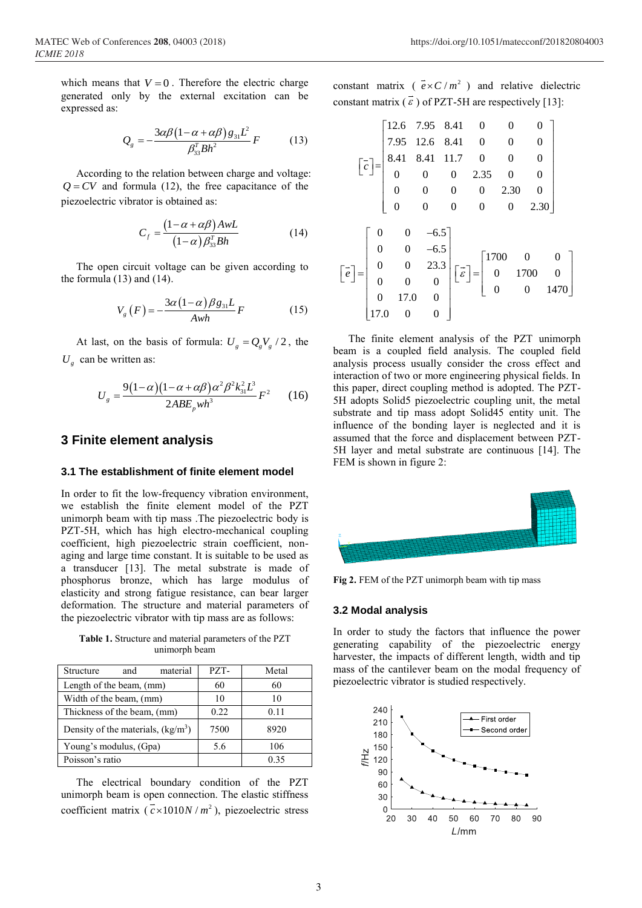which means that  $V = 0$ . Therefore the electric charge generated only by the external excitation can be expressed as:

$$
Q_{g} = -\frac{3\alpha\beta(1-\alpha+\alpha\beta)g_{31}L^{2}}{\beta_{33}^{T}Bh^{2}}F
$$
 (13)

According to the relation between charge and voltage:  $Q = CV$  and formula (12), the free capacitance of the piezoelectric vibrator is obtained as:

$$
C_f = \frac{\left(1 - \alpha + \alpha \beta\right) A w L}{\left(1 - \alpha\right) \beta_{33}^T B h} \tag{14}
$$

The open circuit voltage can be given according to the formula (13) and (14).

$$
V_{g}(F) = -\frac{3\alpha (1-\alpha)\beta g_{31}L}{Awh}F
$$
 (15)

At last, on the basis of formula:  $U_g = Q_g V_g / 2$ , the  $U_g$  can be written as:

$$
U_g = \frac{9(1-\alpha)(1-\alpha+\alpha\beta)\alpha^2\beta^2k_{31}^2L^3}{2ABE_pwh^3}F^2
$$
 (16)

### **3 Finite element analysis**

#### **3.1 The establishment of finite element model**

In order to fit the low-frequency vibration environment, we establish the finite element model of the PZT unimorph beam with tip mass .The piezoelectric body is PZT-5H, which has high electro-mechanical coupling coefficient, high piezoelectric strain coefficient, nonaging and large time constant. It is suitable to be used as a transducer [13]. The metal substrate is made of phosphorus bronze, which has large modulus of elasticity and strong fatigue resistance, can bear larger deformation. The structure and material parameters of the piezoelectric vibrator with tip mass are as follows:

**Table 1.** Structure and material parameters of the PZT unimorph beam

| material<br>and<br>Structure        | PZT- | Metal |
|-------------------------------------|------|-------|
| Length of the beam, (mm)            | 60   | 60    |
| Width of the beam, (mm)             | 10   | 10    |
| Thickness of the beam, (mm)         | 0.22 | 0.11  |
| Density of the materials, $(kg/m3)$ | 7500 | 8920  |
| Young's modulus, (Gpa)              | 5.6  | 106   |
| Poisson's ratio                     |      | 0 35  |

The electrical boundary condition of the PZT unimorph beam is open connection. The elastic stiffness coefficient matrix ( $\bar{c} \times 1010N/m^2$ ), piezoelectric stress

constant matrix ( $\overline{e \times C/m^2}$ ) and relative dielectric constant matrix  $(\vec{\epsilon})$  of PZT-5H are respectively [13]:

$$
\begin{bmatrix}\n12.6 & 7.95 & 8.41 & 0 & 0 & 0 \\
7.95 & 12.6 & 8.41 & 0 & 0 & 0 \\
8.41 & 8.41 & 11.7 & 0 & 0 & 0 \\
0 & 0 & 0 & 2.35 & 0 & 0 \\
0 & 0 & 0 & 0 & 2.30 & 0 \\
0 & 0 & 0 & 0 & 0 & 2.30\n\end{bmatrix}
$$
\n
$$
\begin{bmatrix}\n\vec{e}\n\end{bmatrix} = \begin{bmatrix}\n0 & 0 & -6.5 \\
0 & 0 & -6.5 \\
0 & 0 & 0 & 0 \\
0 & 0 & 0 & 0 \\
0 & 17.0 & 0 & 0\n\end{bmatrix} \begin{bmatrix}\n\vec{e}\n\end{bmatrix} = \begin{bmatrix}\n1700 & 0 & 0 \\
0 & 1700 & 0 \\
0 & 0 & 1470\n\end{bmatrix}
$$

The finite element analysis of the PZT unimorph beam is a coupled field analysis. The coupled field analysis process usually consider the cross effect and interaction of two or more engineering physical fields. In this paper, direct coupling method is adopted. The PZT-5H adopts Solid5 piezoelectric coupling unit, the metal substrate and tip mass adopt Solid45 entity unit. The influence of the bonding layer is neglected and it is assumed that the force and displacement between PZT-5H layer and metal substrate are continuous [14]. The FEM is shown in figure 2:



**Fig 2.** FEM of the PZT unimorph beam with tip mass

#### **3.2 Modal analysis**

In order to study the factors that influence the power generating capability of the piezoelectric energy harvester, the impacts of different length, width and tip mass of the cantilever beam on the modal frequency of piezoelectric vibrator is studied respectively.

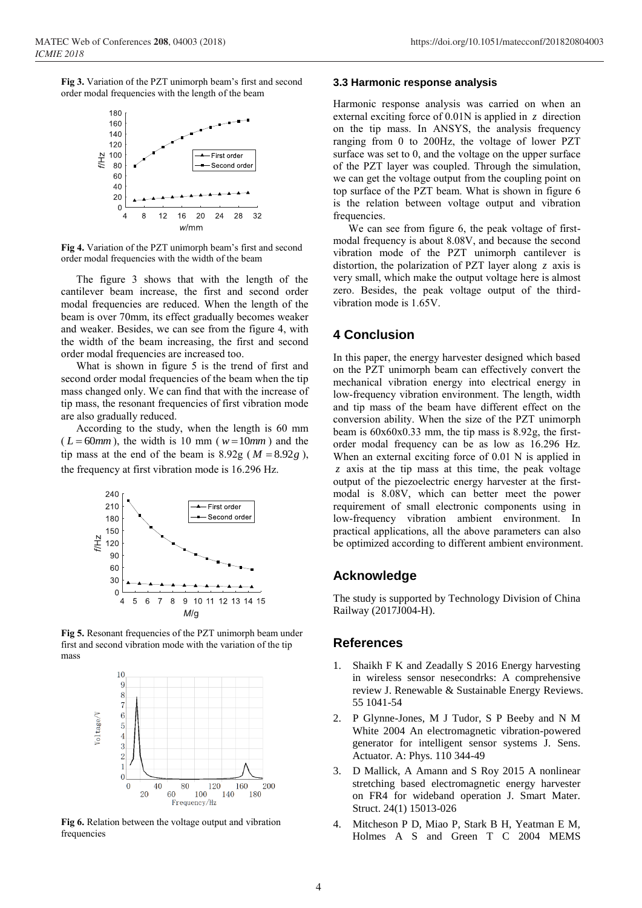**Fig 3.** Variation of the PZT unimorph beam's first and second order modal frequencies with the length of the beam



**Fig 4.** Variation of the PZT unimorph beam's first and second order modal frequencies with the width of the beam

The figure 3 shows that with the length of the cantilever beam increase, the first and second order modal frequencies are reduced. When the length of the beam is over 70mm, its effect gradually becomes weaker and weaker. Besides, we can see from the figure 4, with the width of the beam increasing, the first and second order modal frequencies are increased too.

What is shown in figure 5 is the trend of first and second order modal frequencies of the beam when the tip mass changed only. We can find that with the increase of tip mass, the resonant frequencies of first vibration mode are also gradually reduced.

According to the study, when the length is 60 mm  $(L = 60mm)$ , the width is 10 mm ( $w = 10mm$ ) and the tip mass at the end of the beam is  $8.92g$  ( $M = 8.92g$ ), the frequency at first vibration mode is 16.296 Hz.



**Fig 5.** Resonant frequencies of the PZT unimorph beam under first and second vibration mode with the variation of the tip mass



**Fig 6.** Relation between the voltage output and vibration frequencies

#### **3.3 Harmonic response analysis**

Harmonic response analysis was carried on when an external exciting force of 0.01N is applied in *<sup>z</sup>* direction on the tip mass. In ANSYS, the analysis frequency ranging from 0 to 200Hz, the voltage of lower PZT surface was set to 0, and the voltage on the upper surface of the PZT layer was coupled. Through the simulation, we can get the voltage output from the coupling point on top surface of the PZT beam. What is shown in figure 6 is the relation between voltage output and vibration frequencies.

We can see from figure 6, the peak voltage of firstmodal frequency is about 8.08V, and because the second vibration mode of the PZT unimorph cantilever is distortion, the polarization of PZT layer along *<sup>z</sup>* axis is very small, which make the output voltage here is almost zero. Besides, the peak voltage output of the thirdvibration mode is 1.65V.

# **4 Conclusion**

In this paper, the energy harvester designed which based on the PZT unimorph beam can effectively convert the mechanical vibration energy into electrical energy in low-frequency vibration environment. The length, width and tip mass of the beam have different effect on the conversion ability. When the size of the PZT unimorph beam is 60x60x0.33 mm, the tip mass is 8.92g, the firstorder modal frequency can be as low as 16.296 Hz. When an external exciting force of 0.01 N is applied in *<sup>z</sup>* axis at the tip mass at this time, the peak voltage output of the piezoelectric energy harvester at the firstmodal is 8.08V, which can better meet the power requirement of small electronic components using in low-frequency vibration ambient environment. In practical applications, all the above parameters can also be optimized according to different ambient environment.

### **Acknowledge**

The study is supported by Technology Division of China Railway (2017J004-H).

# **References**

- 1. Shaikh F K and Zeadally S 2016 Energy harvesting in wireless sensor nesecondrks: A comprehensive review J. Renewable & Sustainable Energy Reviews. 55 1041-54
- 2. P Glynne-Jones, M J Tudor, S P Beeby and N M White 2004 An electromagnetic vibration-powered generator for intelligent sensor systems J. Sens. Actuator. A: Phys. 110 344-49
- 3. D Mallick, A Amann and S Roy 2015 A nonlinear stretching based electromagnetic energy harvester on FR4 for wideband operation J. Smart Mater. Struct. 24(1) 15013-026
- 4. Mitcheson P D, Miao P, Stark B H, Yeatman E M, Holmes A S and Green T C 2004 MEMS